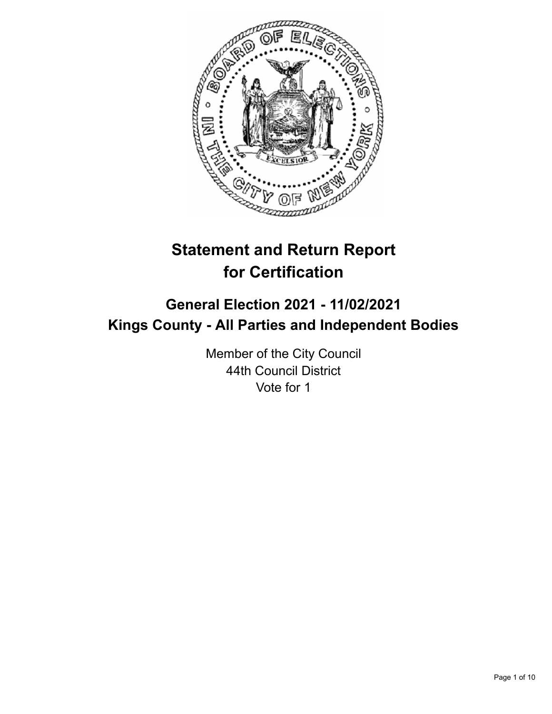

# **Statement and Return Report for Certification**

## **General Election 2021 - 11/02/2021 Kings County - All Parties and Independent Bodies**

Member of the City Council 44th Council District Vote for 1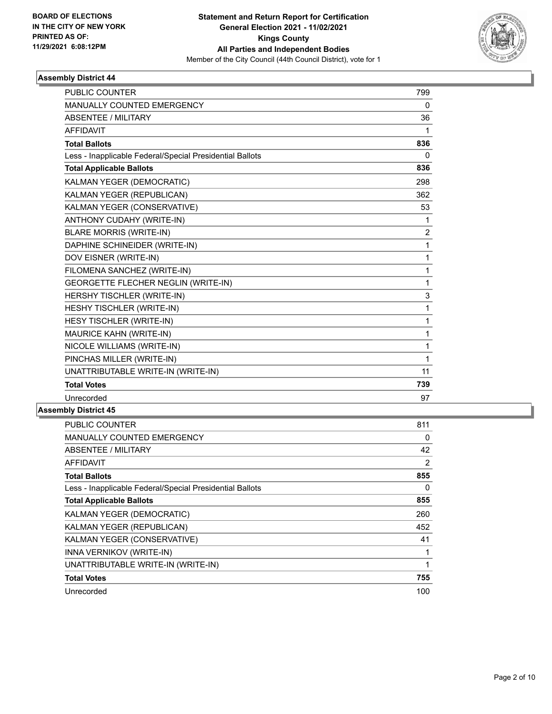

| <b>PUBLIC COUNTER</b>                                    | 799            |
|----------------------------------------------------------|----------------|
| MANUALLY COUNTED EMERGENCY                               | 0              |
| <b>ABSENTEE / MILITARY</b>                               | 36             |
| <b>AFFIDAVIT</b>                                         | 1              |
| <b>Total Ballots</b>                                     | 836            |
| Less - Inapplicable Federal/Special Presidential Ballots | $\Omega$       |
| <b>Total Applicable Ballots</b>                          | 836            |
| KALMAN YEGER (DEMOCRATIC)                                | 298            |
| KALMAN YEGER (REPUBLICAN)                                | 362            |
| KALMAN YEGER (CONSERVATIVE)                              | 53             |
| ANTHONY CUDAHY (WRITE-IN)                                | 1              |
| <b>BLARE MORRIS (WRITE-IN)</b>                           | $\overline{2}$ |
| DAPHINE SCHINEIDER (WRITE-IN)                            | 1              |
| DOV EISNER (WRITE-IN)                                    | 1              |
| FILOMENA SANCHEZ (WRITE-IN)                              | 1              |
| <b>GEORGETTE FLECHER NEGLIN (WRITE-IN)</b>               | 1              |
| HERSHY TISCHLER (WRITE-IN)                               | 3              |
| HESHY TISCHLER (WRITE-IN)                                | 1              |
| HESY TISCHLER (WRITE-IN)                                 | 1              |
| MAURICE KAHN (WRITE-IN)                                  | 1              |
| NICOLE WILLIAMS (WRITE-IN)                               | 1              |
| PINCHAS MILLER (WRITE-IN)                                | 1              |
| UNATTRIBUTABLE WRITE-IN (WRITE-IN)                       | 11             |
| <b>Total Votes</b>                                       | 739            |
| Unrecorded                                               | 97             |

| <b>PUBLIC COUNTER</b>                                    | 811 |
|----------------------------------------------------------|-----|
| <b>MANUALLY COUNTED EMERGENCY</b>                        | 0   |
| ABSENTEE / MILITARY                                      | 42  |
| <b>AFFIDAVIT</b>                                         | 2   |
| <b>Total Ballots</b>                                     | 855 |
| Less - Inapplicable Federal/Special Presidential Ballots | 0   |
| <b>Total Applicable Ballots</b>                          | 855 |
| KALMAN YEGER (DEMOCRATIC)                                | 260 |
| KALMAN YEGER (REPUBLICAN)                                | 452 |
| KALMAN YEGER (CONSERVATIVE)                              | 41  |
| <b>INNA VERNIKOV (WRITE-IN)</b>                          | 1   |
| UNATTRIBUTABLE WRITE-IN (WRITE-IN)                       | 1   |
| <b>Total Votes</b>                                       | 755 |
| Unrecorded                                               | 100 |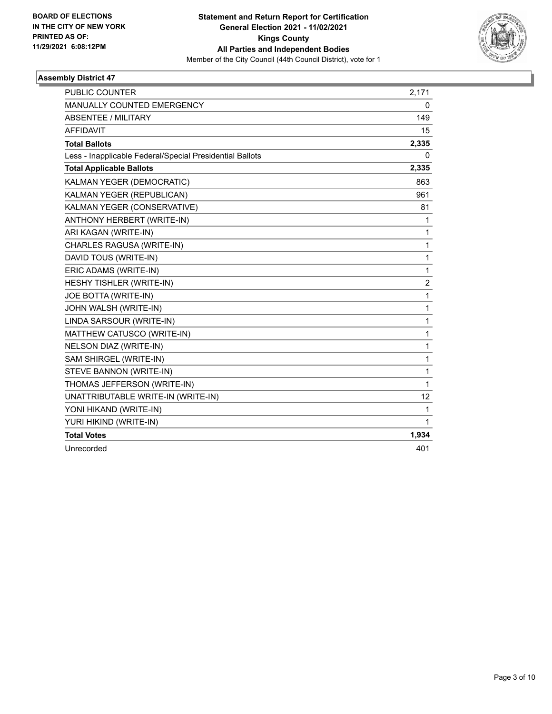

| <b>PUBLIC COUNTER</b>                                    | 2,171          |
|----------------------------------------------------------|----------------|
| <b>MANUALLY COUNTED EMERGENCY</b>                        | 0              |
| <b>ABSENTEE / MILITARY</b>                               | 149            |
| <b>AFFIDAVIT</b>                                         | 15             |
| <b>Total Ballots</b>                                     | 2,335          |
| Less - Inapplicable Federal/Special Presidential Ballots | 0              |
| <b>Total Applicable Ballots</b>                          | 2,335          |
| KALMAN YEGER (DEMOCRATIC)                                | 863            |
| KALMAN YEGER (REPUBLICAN)                                | 961            |
| KALMAN YEGER (CONSERVATIVE)                              | 81             |
| ANTHONY HERBERT (WRITE-IN)                               | 1              |
| ARI KAGAN (WRITE-IN)                                     | 1              |
| CHARLES RAGUSA (WRITE-IN)                                | 1              |
| DAVID TOUS (WRITE-IN)                                    | 1              |
| ERIC ADAMS (WRITE-IN)                                    | 1              |
| HESHY TISHLER (WRITE-IN)                                 | $\overline{2}$ |
| JOE BOTTA (WRITE-IN)                                     | 1              |
| JOHN WALSH (WRITE-IN)                                    | 1              |
| LINDA SARSOUR (WRITE-IN)                                 | 1              |
| MATTHEW CATUSCO (WRITE-IN)                               | 1              |
| NELSON DIAZ (WRITE-IN)                                   | 1              |
| SAM SHIRGEL (WRITE-IN)                                   | 1              |
| STEVE BANNON (WRITE-IN)                                  | 1              |
| THOMAS JEFFERSON (WRITE-IN)                              | 1              |
| UNATTRIBUTABLE WRITE-IN (WRITE-IN)                       | 12             |
| YONI HIKAND (WRITE-IN)                                   | 1              |
| YURI HIKIND (WRITE-IN)                                   | 1              |
| <b>Total Votes</b>                                       | 1,934          |
| Unrecorded                                               | 401            |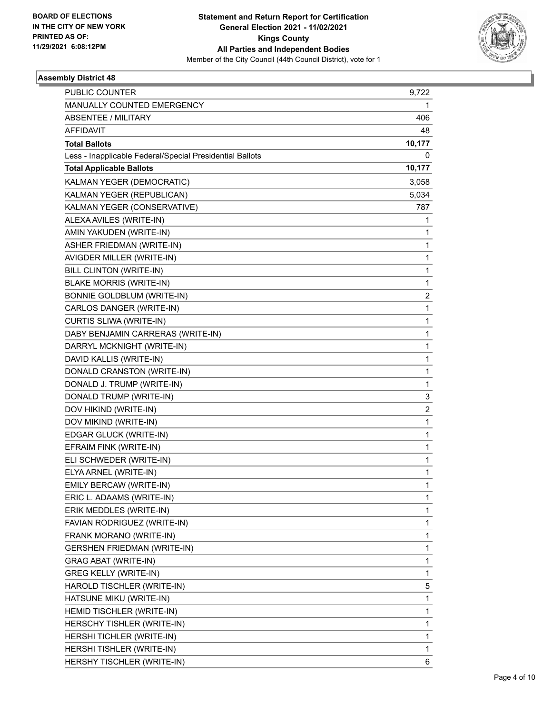

| <b>PUBLIC COUNTER</b>                                    | 9,722                   |
|----------------------------------------------------------|-------------------------|
| MANUALLY COUNTED EMERGENCY                               | 1                       |
| <b>ABSENTEE / MILITARY</b>                               | 406                     |
| <b>AFFIDAVIT</b>                                         | 48                      |
| <b>Total Ballots</b>                                     | 10,177                  |
| Less - Inapplicable Federal/Special Presidential Ballots | 0                       |
| <b>Total Applicable Ballots</b>                          | 10,177                  |
| KALMAN YEGER (DEMOCRATIC)                                | 3,058                   |
| KALMAN YEGER (REPUBLICAN)                                | 5,034                   |
| KALMAN YEGER (CONSERVATIVE)                              | 787                     |
| ALEXA AVILES (WRITE-IN)                                  | 1                       |
| AMIN YAKUDEN (WRITE-IN)                                  | 1                       |
| ASHER FRIEDMAN (WRITE-IN)                                | 1                       |
| AVIGDER MILLER (WRITE-IN)                                | 1                       |
| BILL CLINTON (WRITE-IN)                                  | 1                       |
| <b>BLAKE MORRIS (WRITE-IN)</b>                           | 1                       |
| BONNIE GOLDBLUM (WRITE-IN)                               | $\overline{\mathbf{c}}$ |
| CARLOS DANGER (WRITE-IN)                                 | 1                       |
| CURTIS SLIWA (WRITE-IN)                                  | 1                       |
| DABY BENJAMIN CARRERAS (WRITE-IN)                        | 1                       |
| DARRYL MCKNIGHT (WRITE-IN)                               | 1                       |
| DAVID KALLIS (WRITE-IN)                                  | 1                       |
| DONALD CRANSTON (WRITE-IN)                               | 1                       |
| DONALD J. TRUMP (WRITE-IN)                               | 1                       |
| DONALD TRUMP (WRITE-IN)                                  | 3                       |
| DOV HIKIND (WRITE-IN)                                    | $\overline{c}$          |
| DOV MIKIND (WRITE-IN)                                    | 1                       |
| EDGAR GLUCK (WRITE-IN)                                   | 1                       |
| EFRAIM FINK (WRITE-IN)                                   | 1                       |
| ELI SCHWEDER (WRITE-IN)                                  | 1                       |
| ELYA ARNEL (WRITE-IN)                                    | 1                       |
| EMILY BERCAW (WRITE-IN)                                  | 1                       |
| ERIC L. ADAAMS (WRITE-IN)                                | 1                       |
| ERIK MEDDLES (WRITE-IN)                                  | 1                       |
| FAVIAN RODRIGUEZ (WRITE-IN)                              | 1                       |
| FRANK MORANO (WRITE-IN)                                  | 1                       |
| <b>GERSHEN FRIEDMAN (WRITE-IN)</b>                       | 1                       |
| GRAG ABAT (WRITE-IN)                                     | 1                       |
| <b>GREG KELLY (WRITE-IN)</b>                             | 1                       |
| HAROLD TISCHLER (WRITE-IN)                               | 5                       |
| HATSUNE MIKU (WRITE-IN)                                  | 1                       |
| HEMID TISCHLER (WRITE-IN)                                | 1                       |
| HERSCHY TISHLER (WRITE-IN)                               | 1                       |
| HERSHI TICHLER (WRITE-IN)                                | 1                       |
| HERSHI TISHLER (WRITE-IN)                                | 1                       |
| HERSHY TISCHLER (WRITE-IN)                               | 6                       |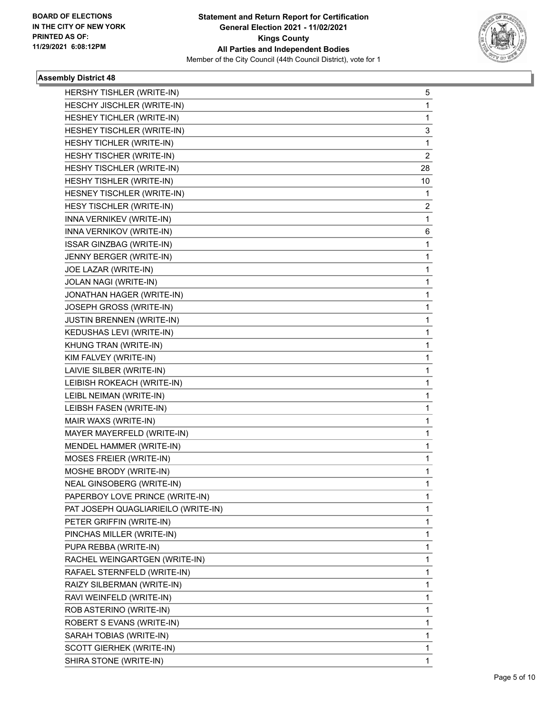

| HERSHY TISHLER (WRITE-IN)           | 5  |
|-------------------------------------|----|
| HESCHY JISCHLER (WRITE-IN)          | 1  |
| HESHEY TICHLER (WRITE-IN)           | 1  |
| HESHEY TISCHLER (WRITE-IN)          | 3  |
| HESHY TICHLER (WRITE-IN)            | 1  |
| HESHY TISCHER (WRITE-IN)            | 2  |
| HESHY TISCHLER (WRITE-IN)           | 28 |
| HESHY TISHLER (WRITE-IN)            | 10 |
| HESNEY TISCHLER (WRITE-IN)          | 1  |
| HESY TISCHLER (WRITE-IN)            | 2  |
| INNA VERNIKEV (WRITE-IN)            | 1  |
| INNA VERNIKOV (WRITE-IN)            | 6  |
| ISSAR GINZBAG (WRITE-IN)            | 1  |
| JENNY BERGER (WRITE-IN)             | 1  |
| JOE LAZAR (WRITE-IN)                | 1  |
| JOLAN NAGI (WRITE-IN)               | 1  |
| JONATHAN HAGER (WRITE-IN)           | 1  |
| JOSEPH GROSS (WRITE-IN)             | 1  |
| <b>JUSTIN BRENNEN (WRITE-IN)</b>    | 1  |
| KEDUSHAS LEVI (WRITE-IN)            | 1  |
| KHUNG TRAN (WRITE-IN)               | 1  |
| KIM FALVEY (WRITE-IN)               | 1  |
| LAIVIE SILBER (WRITE-IN)            | 1  |
| LEIBISH ROKEACH (WRITE-IN)          | 1  |
| LEIBL NEIMAN (WRITE-IN)             | 1  |
| LEIBSH FASEN (WRITE-IN)             | 1  |
| MAIR WAXS (WRITE-IN)                | 1  |
| MAYER MAYERFELD (WRITE-IN)          | 1  |
| MENDEL HAMMER (WRITE-IN)            | 1  |
| MOSES FREIER (WRITE-IN)             | 1  |
| MOSHE BRODY (WRITE-IN)              | 1  |
| NEAL GINSOBERG (WRITE-IN)           | 1  |
| PAPERBOY LOVE PRINCE (WRITE-IN)     | 1  |
| PAT JOSEPH QUAGLIARIEILO (WRITE-IN) | 1  |
| PETER GRIFFIN (WRITE-IN)            | 1  |
| PINCHAS MILLER (WRITE-IN)           | 1  |
| PUPA REBBA (WRITE-IN)               | 1  |
| RACHEL WEINGARTGEN (WRITE-IN)       | 1  |
| RAFAEL STERNFELD (WRITE-IN)         | 1  |
| RAIZY SILBERMAN (WRITE-IN)          | 1  |
| RAVI WEINFELD (WRITE-IN)            | 1  |
| ROB ASTERINO (WRITE-IN)             | 1  |
| ROBERT S EVANS (WRITE-IN)           | 1  |
| SARAH TOBIAS (WRITE-IN)             | 1  |
| SCOTT GIERHEK (WRITE-IN)            | 1  |
| SHIRA STONE (WRITE-IN)              | 1  |
|                                     |    |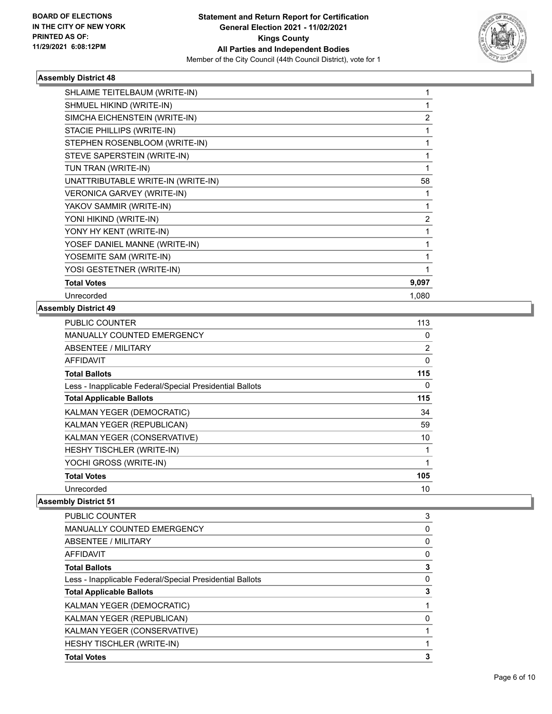

| SHLAIME TEITELBAUM (WRITE-IN)      |                |
|------------------------------------|----------------|
| SHMUEL HIKIND (WRITE-IN)           |                |
| SIMCHA EICHENSTEIN (WRITE-IN)      | 2              |
| STACIE PHILLIPS (WRITE-IN)         | 1              |
| STEPHEN ROSENBLOOM (WRITE-IN)      | 1              |
| STEVE SAPERSTEIN (WRITE-IN)        |                |
| TUN TRAN (WRITE-IN)                |                |
| UNATTRIBUTABLE WRITE-IN (WRITE-IN) | 58             |
| VERONICA GARVEY (WRITE-IN)         |                |
| YAKOV SAMMIR (WRITE-IN)            | 1              |
| YONI HIKIND (WRITE-IN)             | $\overline{c}$ |
| YONY HY KENT (WRITE-IN)            |                |
| YOSEF DANIEL MANNE (WRITE-IN)      |                |
| YOSEMITE SAM (WRITE-IN)            |                |
| YOSI GESTETNER (WRITE-IN)          |                |
| <b>Total Votes</b>                 | 9,097          |
| Unrecorded                         | 1,080          |
|                                    |                |

#### **Assembly District 49**

| <b>PUBLIC COUNTER</b>                                    | 113            |
|----------------------------------------------------------|----------------|
| <b>MANUALLY COUNTED EMERGENCY</b>                        | 0              |
| ABSENTEE / MILITARY                                      | $\overline{2}$ |
| AFFIDAVIT                                                | 0              |
| <b>Total Ballots</b>                                     | 115            |
| Less - Inapplicable Federal/Special Presidential Ballots | 0              |
| <b>Total Applicable Ballots</b>                          | 115            |
| KALMAN YEGER (DEMOCRATIC)                                | 34             |
| KALMAN YEGER (REPUBLICAN)                                | 59             |
| KALMAN YEGER (CONSERVATIVE)                              | 10             |
| HESHY TISCHLER (WRITE-IN)                                | 1              |
| YOCHI GROSS (WRITE-IN)                                   | 1              |
| <b>Total Votes</b>                                       | 105            |
| Unrecorded                                               | 10             |

| <b>PUBLIC COUNTER</b>                                    | 3 |
|----------------------------------------------------------|---|
| <b>MANUALLY COUNTED EMERGENCY</b>                        | 0 |
| ABSENTEE / MILITARY                                      | 0 |
| AFFIDAVIT                                                | 0 |
| <b>Total Ballots</b>                                     | 3 |
| Less - Inapplicable Federal/Special Presidential Ballots | 0 |
| <b>Total Applicable Ballots</b>                          | 3 |
| <b>KALMAN YEGER (DEMOCRATIC)</b>                         |   |
| KALMAN YEGER (REPUBLICAN)                                | 0 |
| KALMAN YEGER (CONSERVATIVE)                              |   |
| HESHY TISCHLER (WRITE-IN)                                |   |
| <b>Total Votes</b>                                       | 3 |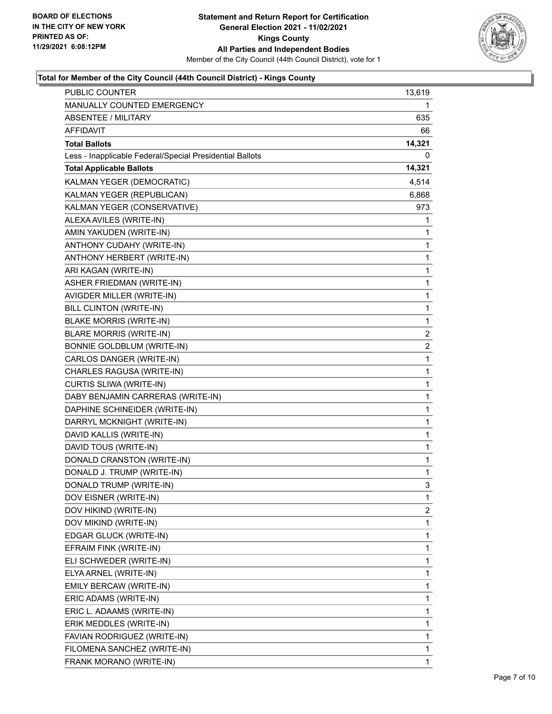

#### **Total for Member of the City Council (44th Council District) - Kings County**

| PUBLIC COUNTER                                           | 13,619                  |
|----------------------------------------------------------|-------------------------|
| MANUALLY COUNTED EMERGENCY                               | 1                       |
| <b>ABSENTEE / MILITARY</b>                               | 635                     |
| <b>AFFIDAVIT</b>                                         | 66                      |
| <b>Total Ballots</b>                                     | 14,321                  |
| Less - Inapplicable Federal/Special Presidential Ballots | 0                       |
| <b>Total Applicable Ballots</b>                          | 14,321                  |
| KALMAN YEGER (DEMOCRATIC)                                | 4,514                   |
| KALMAN YEGER (REPUBLICAN)                                | 6,868                   |
| KALMAN YEGER (CONSERVATIVE)                              | 973                     |
| ALEXA AVILES (WRITE-IN)                                  | 1                       |
| AMIN YAKUDEN (WRITE-IN)                                  | 1                       |
| ANTHONY CUDAHY (WRITE-IN)                                | 1                       |
| ANTHONY HERBERT (WRITE-IN)                               | $\mathbf{1}$            |
| ARI KAGAN (WRITE-IN)                                     | 1                       |
| ASHER FRIEDMAN (WRITE-IN)                                | $\mathbf{1}$            |
| AVIGDER MILLER (WRITE-IN)                                | 1                       |
| BILL CLINTON (WRITE-IN)                                  | 1                       |
| <b>BLAKE MORRIS (WRITE-IN)</b>                           | $\mathbf{1}$            |
| <b>BLARE MORRIS (WRITE-IN)</b>                           | $\overline{\mathbf{c}}$ |
| <b>BONNIE GOLDBLUM (WRITE-IN)</b>                        | 2                       |
| CARLOS DANGER (WRITE-IN)                                 | $\mathbf{1}$            |
| CHARLES RAGUSA (WRITE-IN)                                | 1                       |
| CURTIS SLIWA (WRITE-IN)                                  | 1                       |
| DABY BENJAMIN CARRERAS (WRITE-IN)                        | $\mathbf 1$             |
| DAPHINE SCHINEIDER (WRITE-IN)                            | $\mathbf 1$             |
| DARRYL MCKNIGHT (WRITE-IN)                               | 1                       |
| DAVID KALLIS (WRITE-IN)                                  | $\mathbf 1$             |
| DAVID TOUS (WRITE-IN)                                    | 1                       |
| DONALD CRANSTON (WRITE-IN)                               | 1                       |
| DONALD J. TRUMP (WRITE-IN)                               | $\mathbf{1}$            |
| DONALD TRUMP (WRITE-IN)                                  | 3                       |
| DOV EISNER (WRITE-IN)                                    | 1                       |
| DOV HIKIND (WRITE-IN)                                    | 2                       |
| DOV MIKIND (WRITE-IN)                                    | 1                       |
| EDGAR GLUCK (WRITE-IN)                                   | 1                       |
| EFRAIM FINK (WRITE-IN)                                   | 1                       |
| ELI SCHWEDER (WRITE-IN)                                  | 1                       |
| ELYA ARNEL (WRITE-IN)                                    | 1                       |
| EMILY BERCAW (WRITE-IN)                                  | 1                       |
| ERIC ADAMS (WRITE-IN)                                    | 1                       |
| ERIC L. ADAAMS (WRITE-IN)                                | 1                       |
| ERIK MEDDLES (WRITE-IN)                                  | 1                       |
| FAVIAN RODRIGUEZ (WRITE-IN)                              | 1                       |
| FILOMENA SANCHEZ (WRITE-IN)                              | 1                       |
| FRANK MORANO (WRITE-IN)                                  | $\mathbf{1}$            |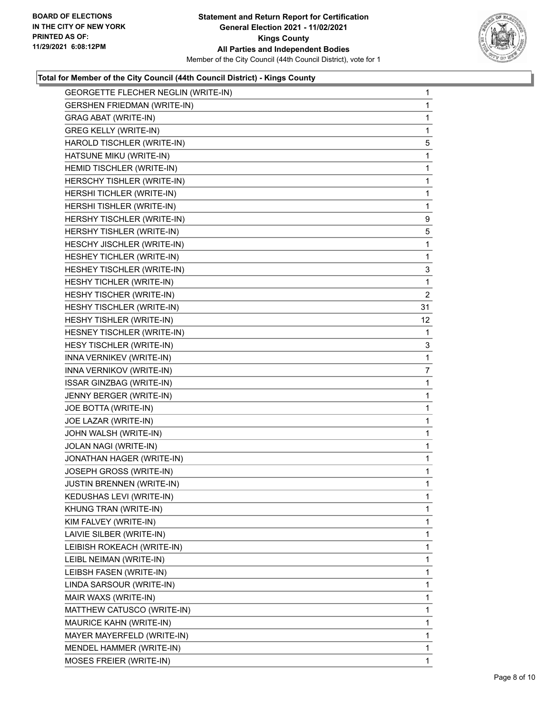

### **Total for Member of the City Council (44th Council District) - Kings County**

| GEORGETTE FLECHER NEGLIN (WRITE-IN) | $\mathbf{1}$    |
|-------------------------------------|-----------------|
| <b>GERSHEN FRIEDMAN (WRITE-IN)</b>  | 1               |
| <b>GRAG ABAT (WRITE-IN)</b>         | 1               |
| <b>GREG KELLY (WRITE-IN)</b>        | 1               |
| HAROLD TISCHLER (WRITE-IN)          | 5               |
| HATSUNE MIKU (WRITE-IN)             | 1               |
| HEMID TISCHLER (WRITE-IN)           | $\mathbf{1}$    |
| HERSCHY TISHLER (WRITE-IN)          | $\mathbf{1}$    |
| HERSHI TICHLER (WRITE-IN)           | 1               |
| HERSHI TISHLER (WRITE-IN)           | 1               |
| HERSHY TISCHLER (WRITE-IN)          | 9               |
| HERSHY TISHLER (WRITE-IN)           | 5               |
| HESCHY JISCHLER (WRITE-IN)          | 1               |
| HESHEY TICHLER (WRITE-IN)           | 1               |
| HESHEY TISCHLER (WRITE-IN)          | 3               |
| HESHY TICHLER (WRITE-IN)            | 1               |
| HESHY TISCHER (WRITE-IN)            | $\overline{2}$  |
| HESHY TISCHLER (WRITE-IN)           | 31              |
| HESHY TISHLER (WRITE-IN)            | 12 <sup>2</sup> |
| HESNEY TISCHLER (WRITE-IN)          | 1               |
| HESY TISCHLER (WRITE-IN)            | 3               |
| INNA VERNIKEV (WRITE-IN)            | 1               |
| INNA VERNIKOV (WRITE-IN)            | 7               |
| <b>ISSAR GINZBAG (WRITE-IN)</b>     | 1               |
| JENNY BERGER (WRITE-IN)             | 1               |
| JOE BOTTA (WRITE-IN)                | 1               |
| JOE LAZAR (WRITE-IN)                | 1               |
| JOHN WALSH (WRITE-IN)               | $\mathbf{1}$    |
| JOLAN NAGI (WRITE-IN)               | 1               |
| JONATHAN HAGER (WRITE-IN)           | 1               |
| JOSEPH GROSS (WRITE-IN)             | 1               |
| <b>JUSTIN BRENNEN (WRITE-IN)</b>    | 1               |
| KEDUSHAS LEVI (WRITE-IN)            | 1               |
| KHUNG TRAN (WRITE-IN)               | 1               |
| KIM FALVEY (WRITE-IN)               | 1               |
| LAIVIE SILBER (WRITE-IN)            | 1               |
| LEIBISH ROKEACH (WRITE-IN)          | 1               |
| LEIBL NEIMAN (WRITE-IN)             | 1               |
| LEIBSH FASEN (WRITE-IN)             | 1               |
| LINDA SARSOUR (WRITE-IN)            | 1               |
| MAIR WAXS (WRITE-IN)                | 1               |
| MATTHEW CATUSCO (WRITE-IN)          | 1               |
| MAURICE KAHN (WRITE-IN)             | 1               |
| MAYER MAYERFELD (WRITE-IN)          | 1               |
| MENDEL HAMMER (WRITE-IN)            | 1               |
| MOSES FREIER (WRITE-IN)             | 1               |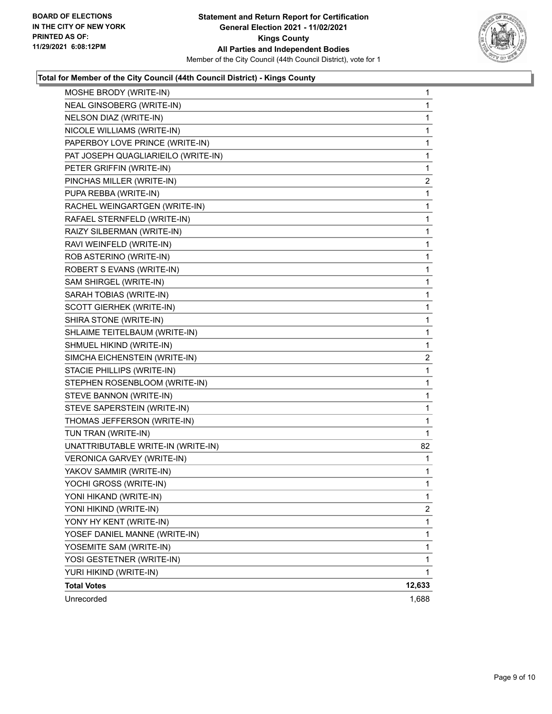

#### **Total for Member of the City Council (44th Council District) - Kings County**

| MOSHE BRODY (WRITE-IN)              | 1              |
|-------------------------------------|----------------|
| NEAL GINSOBERG (WRITE-IN)           | 1              |
| NELSON DIAZ (WRITE-IN)              | 1              |
| NICOLE WILLIAMS (WRITE-IN)          | 1              |
| PAPERBOY LOVE PRINCE (WRITE-IN)     | 1              |
| PAT JOSEPH QUAGLIARIEILO (WRITE-IN) | 1              |
| PETER GRIFFIN (WRITE-IN)            | 1              |
| PINCHAS MILLER (WRITE-IN)           | $\overline{2}$ |
| PUPA REBBA (WRITE-IN)               | 1              |
| RACHEL WEINGARTGEN (WRITE-IN)       | 1              |
| RAFAEL STERNFELD (WRITE-IN)         | 1              |
| RAIZY SILBERMAN (WRITE-IN)          | 1              |
| RAVI WEINFELD (WRITE-IN)            | 1              |
| ROB ASTERINO (WRITE-IN)             | 1              |
| ROBERT S EVANS (WRITE-IN)           | 1              |
| SAM SHIRGEL (WRITE-IN)              | 1              |
| SARAH TOBIAS (WRITE-IN)             | 1              |
| <b>SCOTT GIERHEK (WRITE-IN)</b>     | 1              |
| SHIRA STONE (WRITE-IN)              | 1              |
| SHLAIME TEITELBAUM (WRITE-IN)       | 1              |
| SHMUEL HIKIND (WRITE-IN)            | 1              |
| SIMCHA EICHENSTEIN (WRITE-IN)       | $\overline{c}$ |
| STACIE PHILLIPS (WRITE-IN)          | 1              |
| STEPHEN ROSENBLOOM (WRITE-IN)       | 1              |
| STEVE BANNON (WRITE-IN)             | 1              |
| STEVE SAPERSTEIN (WRITE-IN)         | 1              |
| THOMAS JEFFERSON (WRITE-IN)         | 1              |
| TUN TRAN (WRITE-IN)                 | 1              |
| UNATTRIBUTABLE WRITE-IN (WRITE-IN)  | 82             |
| VERONICA GARVEY (WRITE-IN)          | 1              |
| YAKOV SAMMIR (WRITE-IN)             | 1              |
| YOCHI GROSS (WRITE-IN)              | 1              |
| YONI HIKAND (WRITE-IN)              | 1              |
| YONI HIKIND (WRITE-IN)              | $\overline{2}$ |
| YONY HY KENT (WRITE-IN)             | 1              |
| YOSEF DANIEL MANNE (WRITE-IN)       | 1              |
| YOSEMITE SAM (WRITE-IN)             | 1              |
| YOSI GESTETNER (WRITE-IN)           | 1              |
| YURI HIKIND (WRITE-IN)              | 1              |
| <b>Total Votes</b>                  | 12,633         |
| Unrecorded                          | 1,688          |